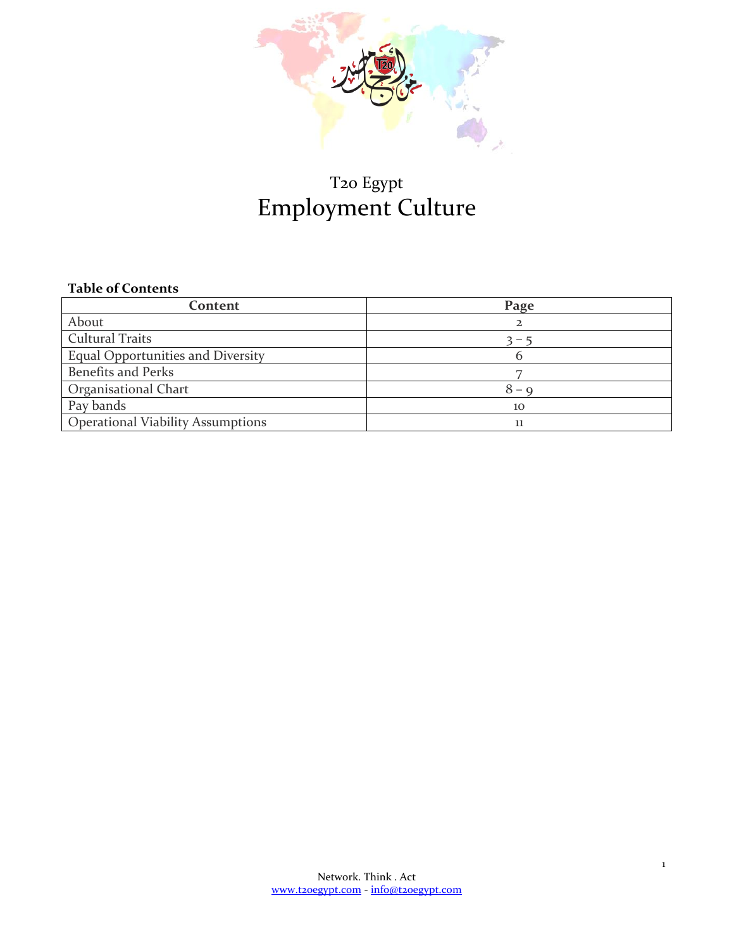

# T20 Egypt Employment Culture

#### **Table of Contents**

| Content                                  | Page         |
|------------------------------------------|--------------|
| About                                    |              |
| <b>Cultural Traits</b>                   | $3 - 5$      |
| <b>Equal Opportunities and Diversity</b> |              |
| <b>Benefits and Perks</b>                |              |
| Organisational Chart                     | $8 - \alpha$ |
| Pay bands                                | 10           |
| <b>Operational Viability Assumptions</b> | 11           |

1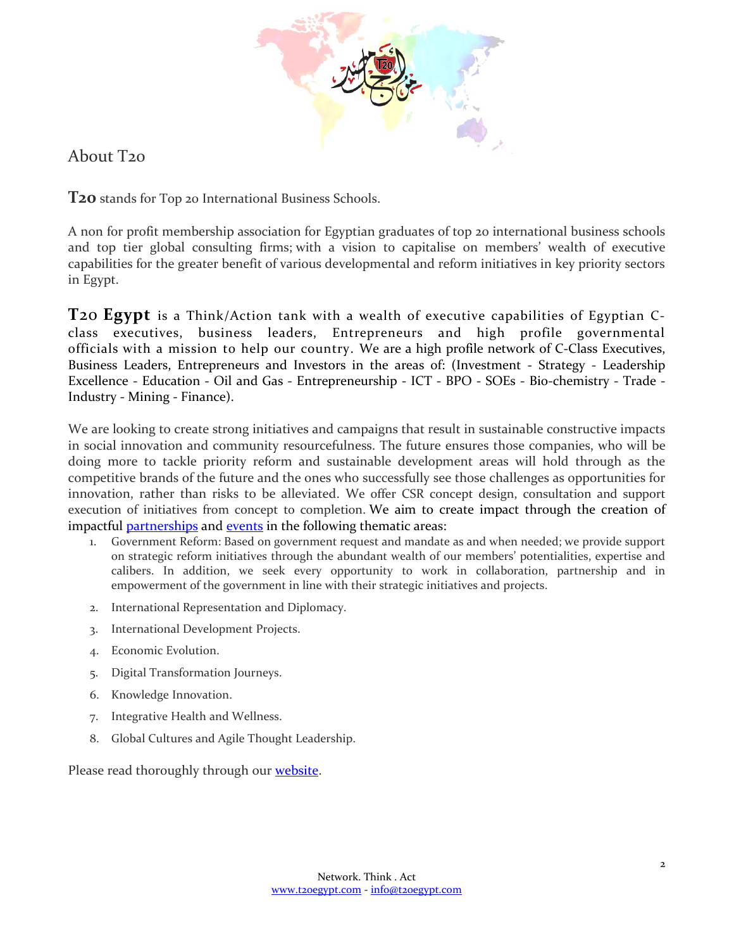

### About T20

**T20** stands for Top 20 International Business Schools.

A non for profit membership association for Egyptian graduates of top 20 international business schools and top tier global consulting firms; with a vision to capitalise on members' wealth of executive capabilities for the greater benefit of various developmental and reform initiatives in key priority sectors in Egypt.

**T**20 **Egypt** is a Think/Action tank with a wealth of executive capabilities of Egyptian Cclass executives, business leaders, Entrepreneurs and high profile governmental officials with a mission to help our country. We are a high profile network of C-Class Executives, Business Leaders, Entrepreneurs and Investors in the areas of: (Investment - Strategy - Leadership Excellence - Education - Oil and Gas - Entrepreneurship - ICT - BPO - SOEs - Bio-chemistry - Trade - Industry - Mining - Finance).

We are looking to create strong initiatives and campaigns that result in sustainable constructive impacts in social innovation and community resourcefulness. The future ensures those companies, who will be doing more to tackle priority reform and sustainable development areas will hold through as the competitive brands of the future and the ones who successfully see those challenges as opportunities for innovation, rather than risks to be alleviated. We offer CSR concept design, consultation and support execution of initiatives from concept to completion. We aim to create impact through the creation of impactful **partnerships** and **events** in the following thematic areas:

- 1. Government Reform: Based on government request and mandate as and when needed; we provide support on strategic reform initiatives through the abundant wealth of our members' potentialities, expertise and calibers. In addition, we seek every opportunity to work in collaboration, partnership and in empowerment of the government in line with their strategic initiatives and projects.
- 2. International Representation and Diplomacy.
- 3. International Development Projects.
- 4. Economic Evolution.
- 5. Digital Transformation Journeys.
- 6. Knowledge Innovation.
- 7. Integrative Health and Wellness.
- 8. Global Cultures and Agile Thought Leadership.

Please read thoroughly through our [website.](http://www.t20egypt.com/)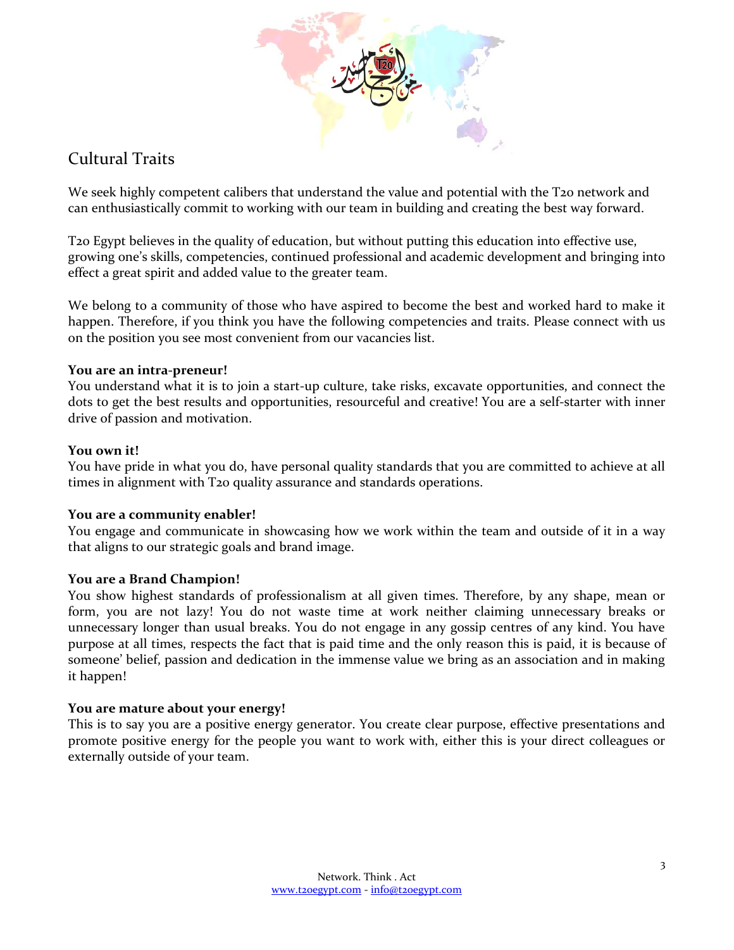

# Cultural Traits

We seek highly competent calibers that understand the value and potential with the T20 network and can enthusiastically commit to working with our team in building and creating the best way forward.

T20 Egypt believes in the quality of education, but without putting this education into effective use, growing one's skills, competencies, continued professional and academic development and bringing into effect a great spirit and added value to the greater team.

We belong to a community of those who have aspired to become the best and worked hard to make it happen. Therefore, if you think you have the following competencies and traits. Please connect with us on the position you see most convenient from our vacancies list.

#### **You are an intra-preneur!**

You understand what it is to join a start-up culture, take risks, excavate opportunities, and connect the dots to get the best results and opportunities, resourceful and creative! You are a self-starter with inner drive of passion and motivation.

#### **You own it!**

You have pride in what you do, have personal quality standards that you are committed to achieve at all times in alignment with T20 quality assurance and standards operations.

#### **You are a community enabler!**

You engage and communicate in showcasing how we work within the team and outside of it in a way that aligns to our strategic goals and brand image.

#### **You are a Brand Champion!**

You show highest standards of professionalism at all given times. Therefore, by any shape, mean or form, you are not lazy! You do not waste time at work neither claiming unnecessary breaks or unnecessary longer than usual breaks. You do not engage in any gossip centres of any kind. You have purpose at all times, respects the fact that is paid time and the only reason this is paid, it is because of someone' belief, passion and dedication in the immense value we bring as an association and in making it happen!

#### **You are mature about your energy!**

This is to say you are a positive energy generator. You create clear purpose, effective presentations and promote positive energy for the people you want to work with, either this is your direct colleagues or externally outside of your team.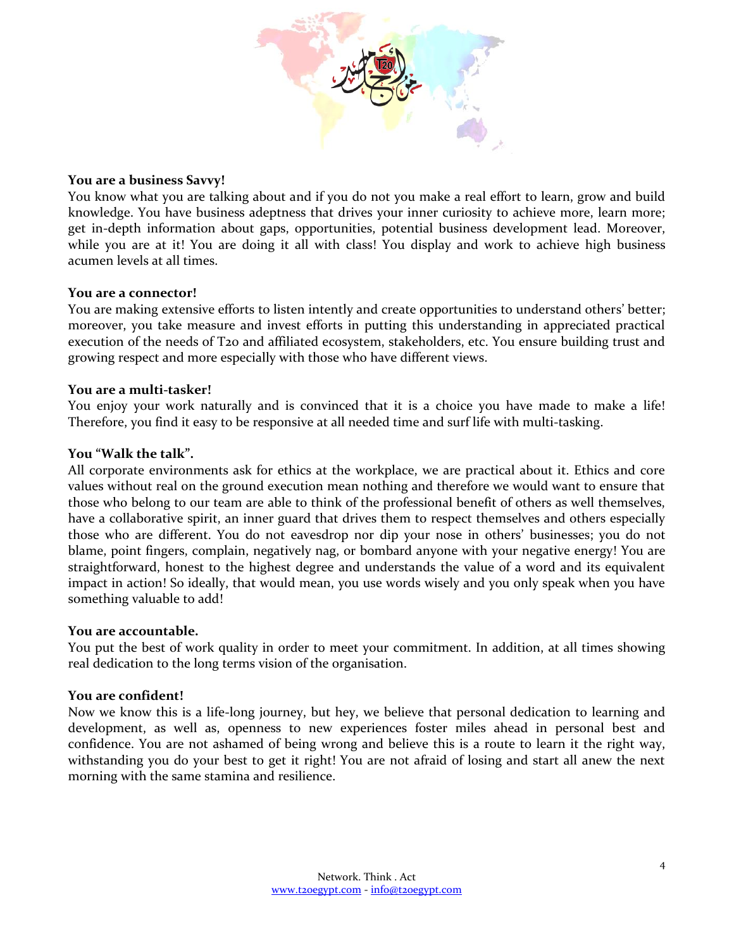

#### **You are a business Savvy!**

You know what you are talking about and if you do not you make a real effort to learn, grow and build knowledge. You have business adeptness that drives your inner curiosity to achieve more, learn more; get in-depth information about gaps, opportunities, potential business development lead. Moreover, while you are at it! You are doing it all with class! You display and work to achieve high business acumen levels at all times.

#### **You are a connector!**

You are making extensive efforts to listen intently and create opportunities to understand others' better; moreover, you take measure and invest efforts in putting this understanding in appreciated practical execution of the needs of T20 and affiliated ecosystem, stakeholders, etc. You ensure building trust and growing respect and more especially with those who have different views.

#### **You are a multi-tasker!**

You enjoy your work naturally and is convinced that it is a choice you have made to make a life! Therefore, you find it easy to be responsive at all needed time and surf life with multi-tasking.

#### **You "Walk the talk".**

All corporate environments ask for ethics at the workplace, we are practical about it. Ethics and core values without real on the ground execution mean nothing and therefore we would want to ensure that those who belong to our team are able to think of the professional benefit of others as well themselves, have a collaborative spirit, an inner guard that drives them to respect themselves and others especially those who are different. You do not eavesdrop nor dip your nose in others' businesses; you do not blame, point fingers, complain, negatively nag, or bombard anyone with your negative energy! You are straightforward, honest to the highest degree and understands the value of a word and its equivalent impact in action! So ideally, that would mean, you use words wisely and you only speak when you have something valuable to add!

#### **You are accountable.**

You put the best of work quality in order to meet your commitment. In addition, at all times showing real dedication to the long terms vision of the organisation.

#### **You are confident!**

Now we know this is a life-long journey, but hey, we believe that personal dedication to learning and development, as well as, openness to new experiences foster miles ahead in personal best and confidence. You are not ashamed of being wrong and believe this is a route to learn it the right way, withstanding you do your best to get it right! You are not afraid of losing and start all anew the next morning with the same stamina and resilience.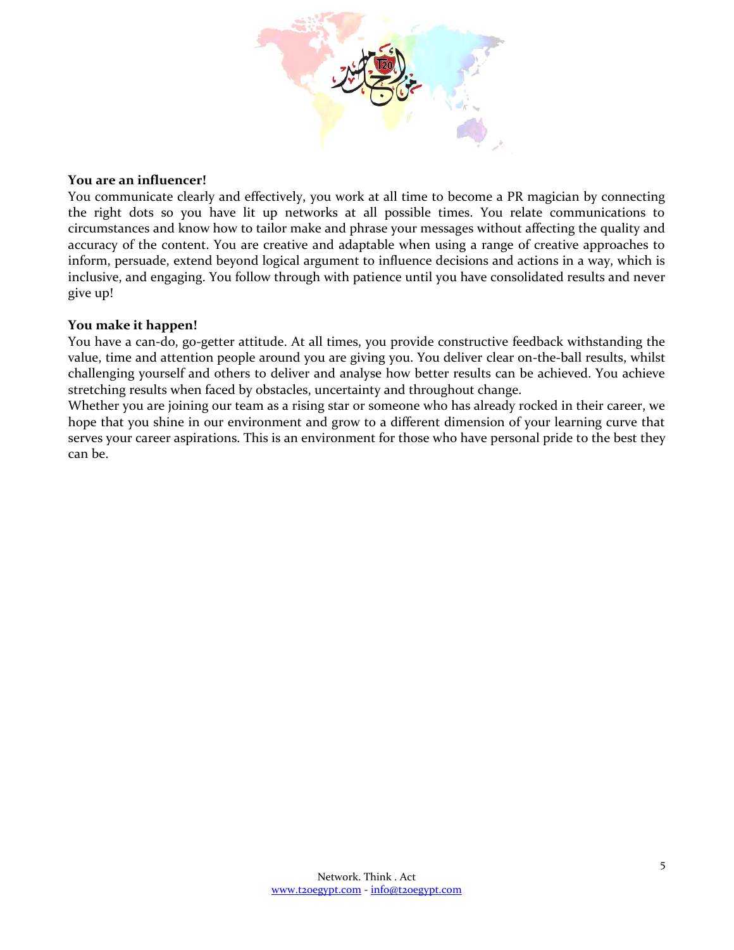

#### **You are an influencer!**

You communicate clearly and effectively, you work at all time to become a PR magician by connecting the right dots so you have lit up networks at all possible times. You relate communications to circumstances and know how to tailor make and phrase your messages without affecting the quality and accuracy of the content. You are creative and adaptable when using a range of creative approaches to inform, persuade, extend beyond logical argument to influence decisions and actions in a way, which is inclusive, and engaging. You follow through with patience until you have consolidated results and never give up!

#### **You make it happen!**

You have a can-do, go-getter attitude. At all times, you provide constructive feedback withstanding the value, time and attention people around you are giving you. You deliver clear on-the-ball results, whilst challenging yourself and others to deliver and analyse how better results can be achieved. You achieve stretching results when faced by obstacles, uncertainty and throughout change.

Whether you are joining our team as a rising star or someone who has already rocked in their career, we hope that you shine in our environment and grow to a different dimension of your learning curve that serves your career aspirations. This is an environment for those who have personal pride to the best they can be.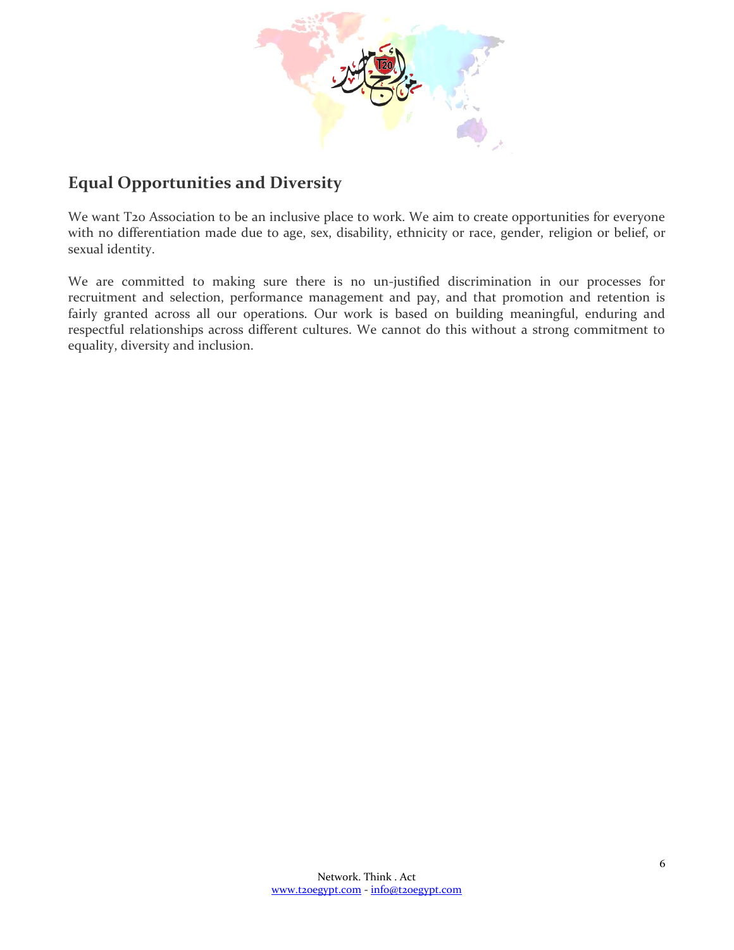

# **Equal Opportunities and Diversity**

We want T20 Association to be an inclusive place to work. We aim to create opportunities for everyone with no differentiation made due to age, sex, disability, ethnicity or race, gender, religion or belief, or sexual identity.

We are committed to making sure there is no un-justified discrimination in our processes for recruitment and selection, performance management and pay, and that promotion and retention is fairly granted across all our operations. Our work is based on building meaningful, enduring and respectful relationships across different cultures. We cannot do this without a strong commitment to equality, diversity and inclusion.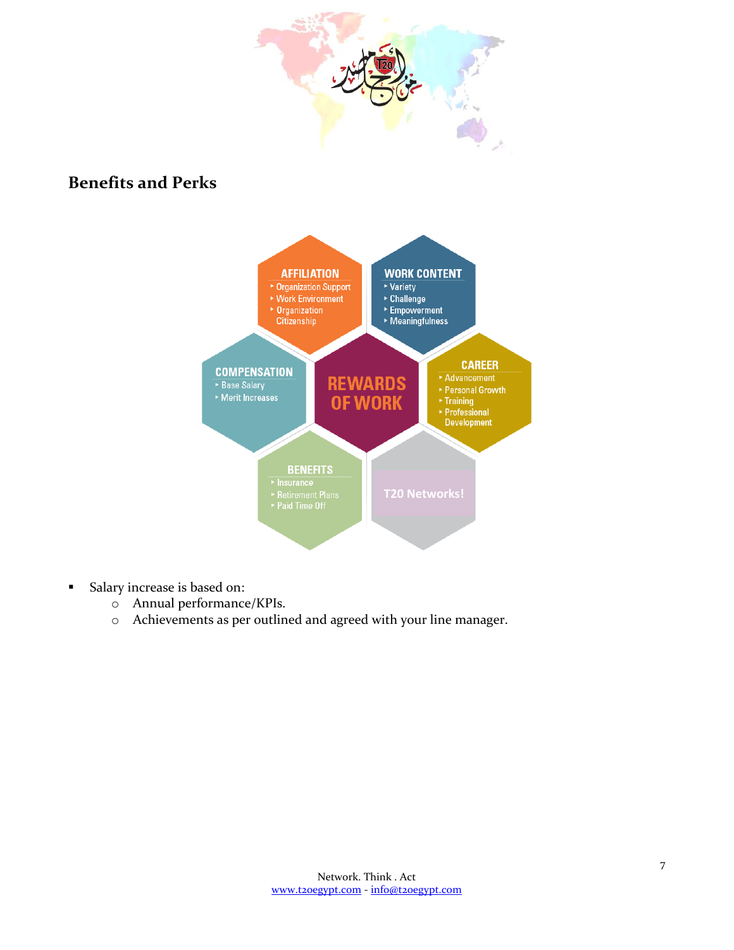

# **Benefits and Perks**



- Salary increase is based on:
	- o Annual performance/KPIs.
	- o Achievements as per outlined and agreed with your line manager.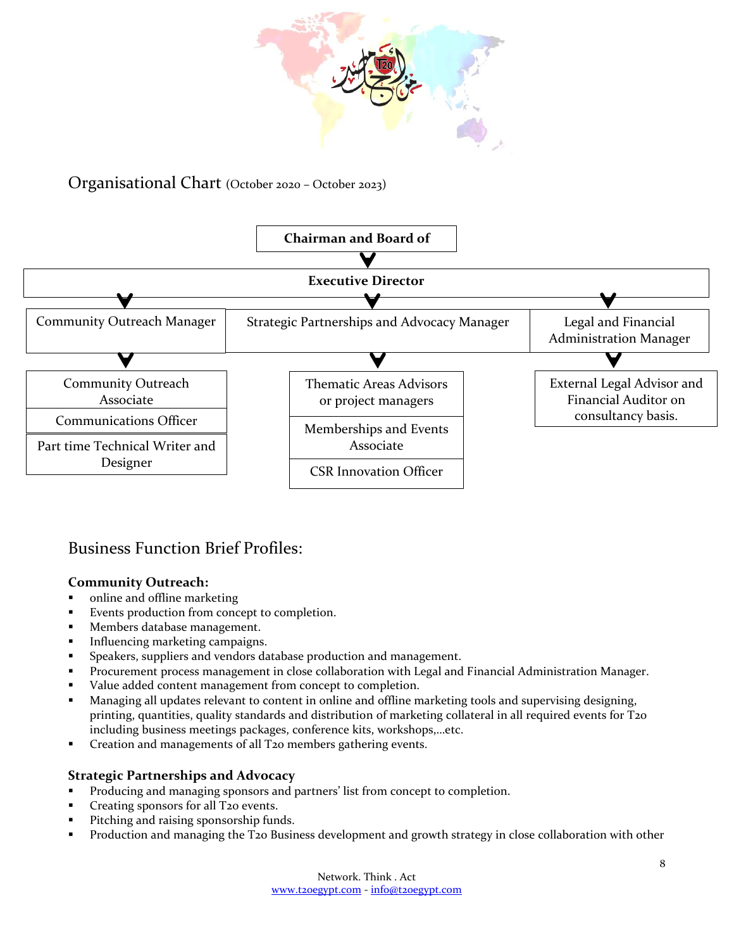

### Organisational Chart (October 2020 – October 2023)



# Business Function Brief Profiles:

#### **Community Outreach:**

- online and offline marketing
- Events production from concept to completion.
- Members database management.
- Influencing marketing campaigns.
- Speakers, suppliers and vendors database production and management.
- **Procurement process management in close collaboration with Legal and Financial Administration Manager.**
- Value added content management from concept to completion.
- Managing all updates relevant to content in online and offline marketing tools and supervising designing, printing, quantities, quality standards and distribution of marketing collateral in all required events for T20 including business meetings packages, conference kits, workshops,…etc.
- Creation and managements of all T20 members gathering events.

#### **Strategic Partnerships and Advocacy**

- Producing and managing sponsors and partners' list from concept to completion.
- **Creating sponsors for all T20 events.**
- **Pitching and raising sponsorship funds.**
- **Production and managing the T20 Business development and growth strategy in close collaboration with other**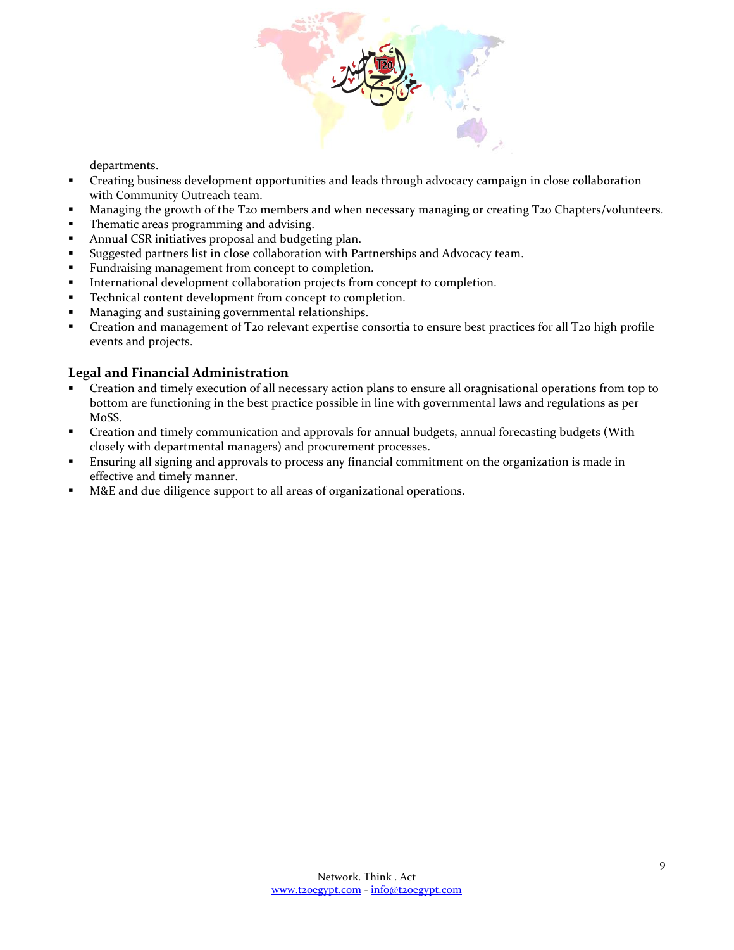

departments.

- Creating business development opportunities and leads through advocacy campaign in close collaboration with Community Outreach team.
- **Managing the growth of the T20 members and when necessary managing or creating T20 Chapters/volunteers.**
- **Thematic areas programming and advising.**
- Annual CSR initiatives proposal and budgeting plan.
- Suggested partners list in close collaboration with Partnerships and Advocacy team.
- **Fundraising management from concept to completion.**
- **International development collaboration projects from concept to completion.**
- **Technical content development from concept to completion.**
- **Managing and sustaining governmental relationships.**
- Creation and management of T20 relevant expertise consortia to ensure best practices for all T20 high profile events and projects.

#### **Legal and Financial Administration**

- Creation and timely execution of all necessary action plans to ensure all oragnisational operations from top to bottom are functioning in the best practice possible in line with governmental laws and regulations as per MoSS.
- Creation and timely communication and approvals for annual budgets, annual forecasting budgets (With closely with departmental managers) and procurement processes.
- Ensuring all signing and approvals to process any financial commitment on the organization is made in effective and timely manner.
- M&E and due diligence support to all areas of organizational operations.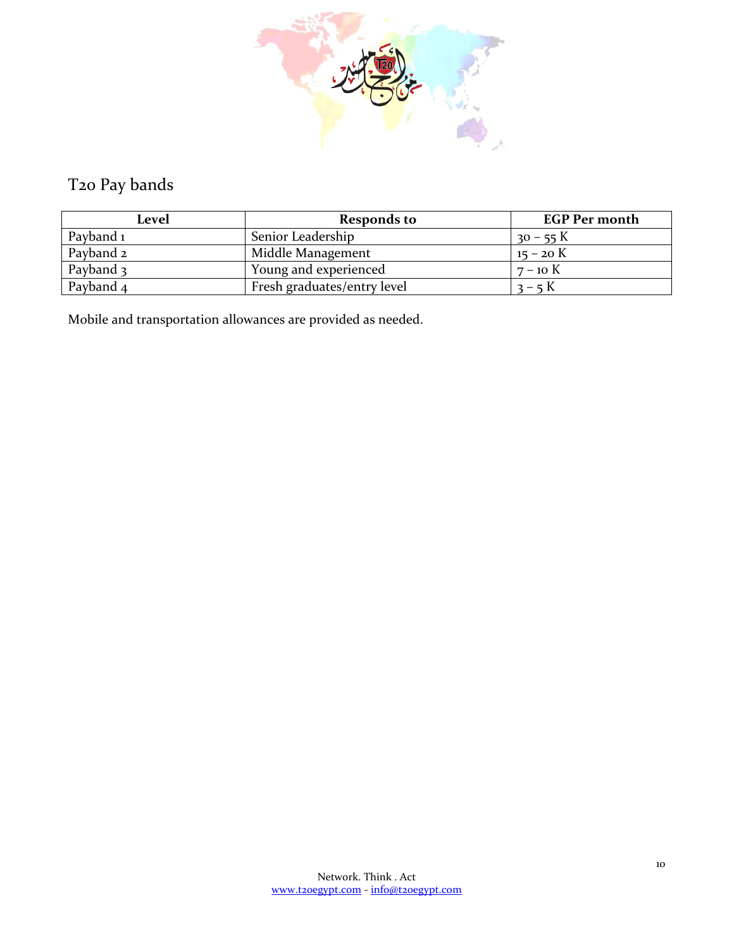

# T20 Pay bands

| Level     | <b>Responds to</b>          | <b>EGP Per month</b> |
|-----------|-----------------------------|----------------------|
| Payband 1 | Senior Leadership           | $30 - 55$ K          |
| Payband 2 | Middle Management           | $15 - 20$ K          |
| Payband 3 | Young and experienced       | $7 - 10$ K           |
| Payband 4 | Fresh graduates/entry level | $3 - 5K$             |

Mobile and transportation allowances are provided as needed.